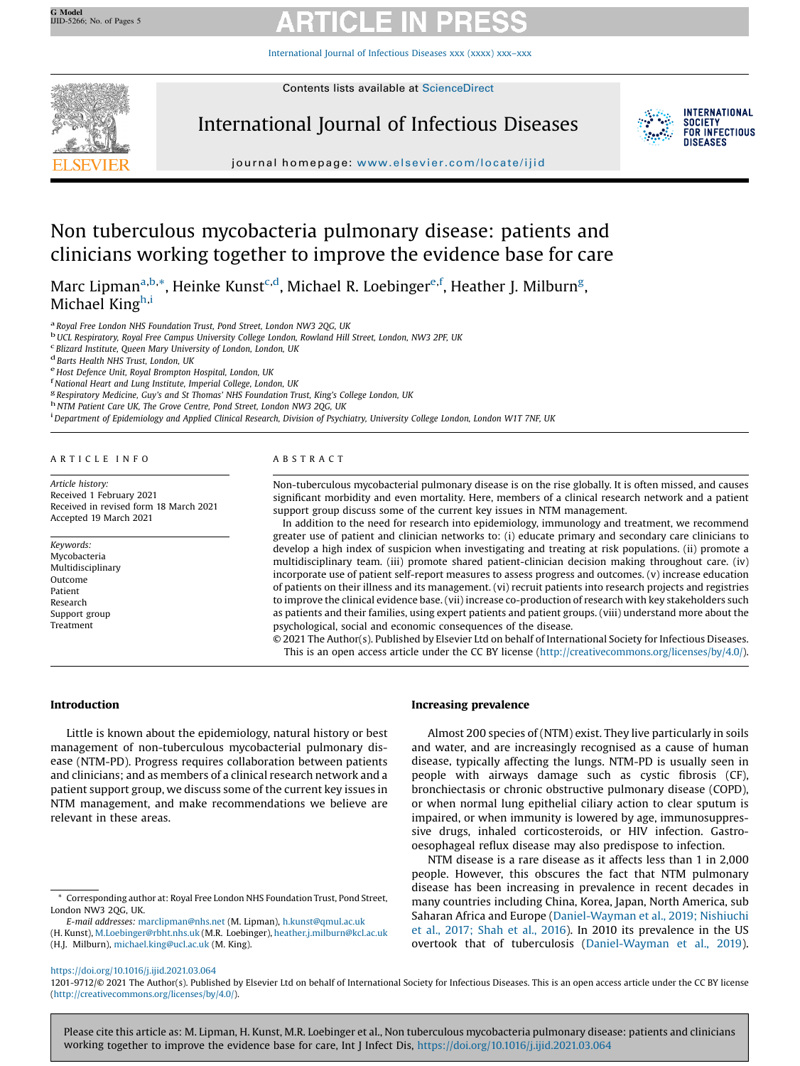[International](https://doi.org/10.1016/j.ijid.2021.03.064) Journal of Infectious Diseases xxx (xxxx) xxx–xxx



Contents lists available at [ScienceDirect](http://www.sciencedirect.com/science/journal/12019712)

International Journal of Infectious Diseases



journal homepage: <www.elsevier.com/locate/ijid>

# Non tuberculous mycobacteria pulmonary disease: patients and clinicians working together to improve the evidence base for care

Marc Lipman<sup>a,b,</sup>\*, Heinke Kunst<sup>c,d</sup>, Michael R. Loebinger<sup>e,f</sup>, Heather J. Milburn<sup>g</sup>, Michael Kingh,i

<sup>a</sup> Royal Free London NHS Foundation Trust, Pond Street, London NW3 2QG, UK<br><sup>b</sup> UCL Respiratory, Royal Free Campus University College London, Rowland Hill Street, London, NW3 2PF, UK<br><sup>c</sup> Blizard Institute, Queen Mary Unive

 $^{\text{d}}$  Barts Health NHS Trust, London, UK<br><sup>e</sup> Host Defence Unit, Royal Brompton Hospital, London, UK<br><sup>f</sup> National Heart and Lung Institute, Imperial College, London, UK

 $^{\rm g}$  Respiratory Medicine, Guy's and St Thomas' NHS Foundation Trust, King's College London, UK <sup>h</sup> NTM Patient Care UK, The Grove Centre, Pond Street, London NW3 2QG, UK

<sup>i</sup> Department of Epidemiology and Applied Clinical Research, Division of Psychiatry, University College London, London W1T 7NF, UK

A R T I C L E I N F O

Article history: Received 1 February 2021 Received in revised form 18 March 2021 Accepted 19 March 2021

Keywords: Mycobacteria Multidisciplinary Outcome Patient Research Support group Treatment

# A B S T R A C T

Non-tuberculous mycobacterial pulmonary disease is on the rise globally. It is often missed, and causes significant morbidity and even mortality. Here, members of a clinical research network and a patient support group discuss some of the current key issues in NTM management.

In addition to the need for research into epidemiology, immunology and treatment, we recommend greater use of patient and clinician networks to: (i) educate primary and secondary care clinicians to develop a high index of suspicion when investigating and treating at risk populations. (ii) promote a multidisciplinary team. (iii) promote shared patient-clinician decision making throughout care. (iv) incorporate use of patient self-report measures to assess progress and outcomes. (v) increase education of patients on their illness and its management. (vi) recruit patients into research projects and registries to improve the clinical evidence base. (vii) increase co-production of research with key stakeholders such as patients and their families, using expert patients and patient groups. (viii) understand more about the psychological, social and economic consequences of the disease.

© 2021 The Author(s). Published by Elsevier Ltd on behalf of International Society for Infectious Diseases. This is an open access article under the CC BY license [\(http://creativecommons.org/licenses/by/4.0/](http://creativecommons.org/licenses/by/4.0/)).

# Introduction

Little is known about the epidemiology, natural history or best management of non-tuberculous mycobacterial pulmonary disease (NTM-PD). Progress requires collaboration between patients and clinicians; and as members of a clinical research network and a patient support group, we discuss some of the current key issues in NTM management, and make recommendations we believe are relevant in these areas.

E-mail addresses: [marclipman@nhs.net](mailto:marclipman@nhs.net) (M. Lipman), [h.kunst@qmul.ac.uk](mailto:h.kunst@qmul.ac.uk)

(H. Kunst), [M.Loebinger@rbht.nhs.uk](mailto:M.Loebinger@rbht.nhs.uk) (M.R. Loebinger), [heather.j.milburn@kcl.ac.uk](mailto:heather.j.milburn@kcl.ac.uk) (H.J. Milburn), [michael.king@ucl.ac.uk](mailto:michael.king@ucl.ac.uk) (M. King).

# Increasing prevalence

Almost 200 species of (NTM) exist. They live particularly in soils and water, and are increasingly recognised as a cause of human disease, typically affecting the lungs. NTM-PD is usually seen in people with airways damage such as cystic fibrosis (CF), bronchiectasis or chronic obstructive pulmonary disease (COPD), or when normal lung epithelial ciliary action to clear sputum is impaired, or when immunity is lowered by age, immunosuppressive drugs, inhaled corticosteroids, or HIV infection. Gastrooesophageal reflux disease may also predispose to infection.

NTM disease is a rare disease as it affects less than 1 in 2,000 people. However, this obscures the fact that NTM pulmonary disease has been increasing in prevalence in recent decades in many countries including China, Korea, Japan, North America, sub Saharan Africa and Europe ([Daniel-Wayman](#page-3-0) et al., 2019; Nishiuchi et al., [2017;](#page-3-0) Shah et al., 2016). In 2010 its prevalence in the US overtook that of tuberculosis [\(Daniel-Wayman](#page-3-0) et al., 2019).

<https://doi.org/10.1016/j.ijid.2021.03.064>

1201-9712/© 2021 The Author(s). Published by Elsevier Ltd on behalf of International Society for Infectious Diseases. This is an open access article under the CC BY license [\(http://creativecommons.org/licenses/by/4.0/](http://creativecommons.org/licenses/by/4.0/)).

Please cite this article as: M. Lipman, H. Kunst, M.R. Loebinger et al., Non tuberculous mycobacteria pulmonary disease: patients and clinicians working together to improve the evidence base for care, Int J Infect Dis, <https://doi.org/10.1016/j.ijid.2021.03.064>

<sup>\*</sup> Corresponding author at: Royal Free London NHS Foundation Trust, Pond Street, London NW3 2QG, UK.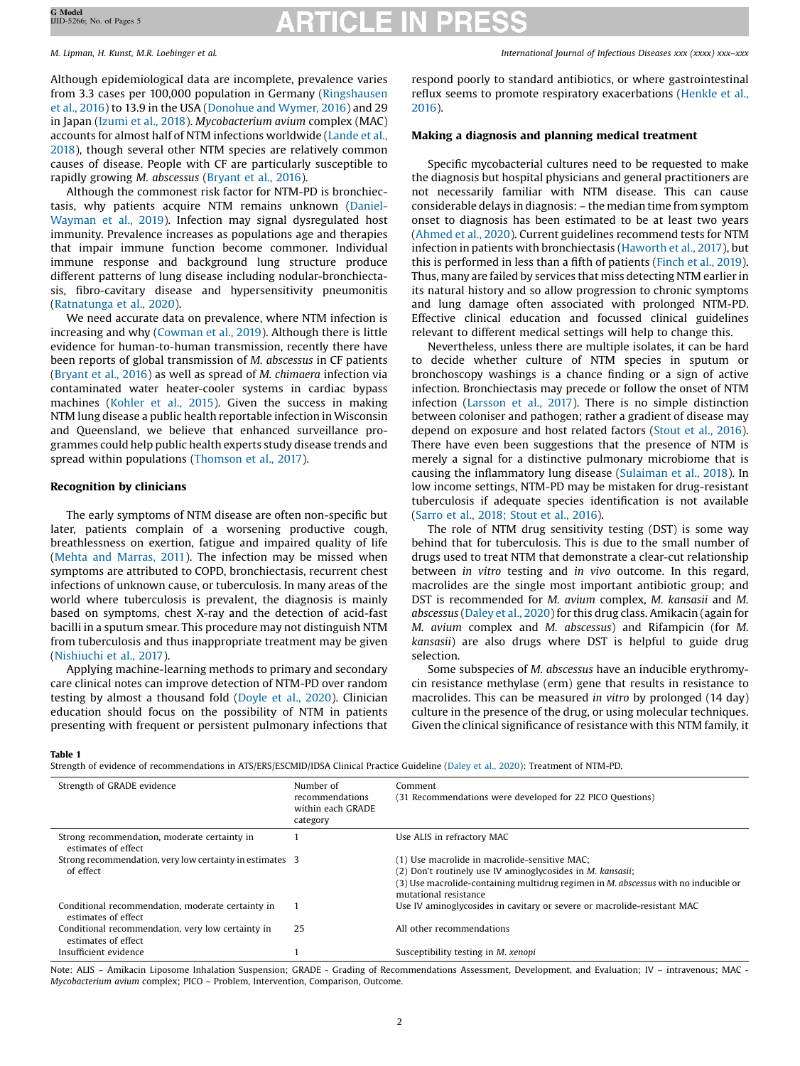Although epidemiological data are incomplete, prevalence varies from 3.3 cases per 100,000 population in Germany [\(Ringshausen](#page-4-0) et al., [2016](#page-4-0)) to 13.9 in the USA ([Donohue](#page-3-0) and Wymer, 2016) and 29 in Japan ([Izumi](#page-3-0) et al., 2018). Mycobacterium avium complex (MAC) accounts for almost half of NTM infections worldwide [\(Lande](#page-4-0) et al., [2018](#page-4-0)), though several other NTM species are relatively common causes of disease. People with CF are particularly susceptible to rapidly growing M. abscessus [\(Bryant](#page-3-0) et al., 2016).

Although the commonest risk factor for NTM-PD is bronchiectasis, why patients acquire NTM remains unknown ([Daniel-](#page-3-0)[Wayman](#page-3-0) et al., 2019). Infection may signal dysregulated host immunity. Prevalence increases as populations age and therapies that impair immune function become commoner. Individual immune response and background lung structure produce different patterns of lung disease including nodular-bronchiectasis, fibro-cavitary disease and hypersensitivity pneumonitis ([Ratnatunga](#page-4-0) et al., 2020).

We need accurate data on prevalence, where NTM infection is increasing and why [\(Cowman](#page-3-0) et al., 2019). Although there is little evidence for human-to-human transmission, recently there have been reports of global transmission of M. abscessus in CF patients ([Bryant](#page-3-0) et al., 2016) as well as spread of M. chimaera infection via contaminated water heater-cooler systems in cardiac bypass machines [\(Kohler](#page-4-0) et al., 2015). Given the success in making NTM lung disease a public health reportable infection in Wisconsin and Queensland, we believe that enhanced surveillance programmes could help public health experts study disease trends and spread within populations ([Thomson](#page-4-0) et al., 2017).

# Recognition by clinicians

The early symptoms of NTM disease are often non-specific but later, patients complain of a worsening productive cough, breathlessness on exertion, fatigue and impaired quality of life (Mehta and [Marras,](#page-4-0) 2011). The infection may be missed when symptoms are attributed to COPD, bronchiectasis, recurrent chest infections of unknown cause, or tuberculosis. In many areas of the world where tuberculosis is prevalent, the diagnosis is mainly based on symptoms, chest X-ray and the detection of acid-fast bacilli in a sputum smear. This procedure may not distinguish NTM from tuberculosis and thus inappropriate treatment may be given ([Nishiuchi](#page-4-0) et al., 2017).

Applying machine-learning methods to primary and secondary care clinical notes can improve detection of NTM-PD over random testing by almost a thousand fold [\(Doyle](#page-3-0) et al., 2020). Clinician education should focus on the possibility of NTM in patients presenting with frequent or persistent pulmonary infections that

<span id="page-1-0"></span>M. Lipman, H. Kunst, M.R. Loebinger et al. International Journal of Infectious Diseases xxx (xxxx) xxx–xxx

respond poorly to standard antibiotics, or where gastrointestinal reflux seems to promote respiratory exacerbations [\(Henkle](#page-3-0) et al., [2016](#page-3-0)).

# Making a diagnosis and planning medical treatment

Specific mycobacterial cultures need to be requested to make the diagnosis but hospital physicians and general practitioners are not necessarily familiar with NTM disease. This can cause considerable delays in diagnosis: – the median time from symptom onset to diagnosis has been estimated to be at least two years ([Ahmed](#page-3-0) et al., 2020). Current guidelines recommend tests for NTM infection in patients with bronchiectasis ([Haworth](#page-3-0) et al., 2017), but this is performed in less than a fifth of patients [\(Finch](#page-3-0) et al., 2019). Thus, many are failed by services that miss detecting NTM earlier in its natural history and so allow progression to chronic symptoms and lung damage often associated with prolonged NTM-PD. Effective clinical education and focussed clinical guidelines relevant to different medical settings will help to change this.

Nevertheless, unless there are multiple isolates, it can be hard to decide whether culture of NTM species in sputum or bronchoscopy washings is a chance finding or a sign of active infection. Bronchiectasis may precede or follow the onset of NTM infection ([Larsson](#page-4-0) et al., 2017). There is no simple distinction between coloniser and pathogen; rather a gradient of disease may depend on exposure and host related factors ([Stout](#page-4-0) et al., 2016). There have even been suggestions that the presence of NTM is merely a signal for a distinctive pulmonary microbiome that is causing the inflammatory lung disease ([Sulaiman](#page-4-0) et al., 2018). In low income settings, NTM-PD may be mistaken for drug-resistant tuberculosis if adequate species identification is not available (Sarro et al., [2018;](#page-4-0) Stout et al., 2016).

The role of NTM drug sensitivity testing (DST) is some way behind that for tuberculosis. This is due to the small number of drugs used to treat NTM that demonstrate a clear-cut relationship between in vitro testing and in vivo outcome. In this regard, macrolides are the single most important antibiotic group; and DST is recommended for M. avium complex, M. kansasii and M. abscessus [\(Daley](#page-3-0) et al., 2020) for this drug class. Amikacin (again for M. avium complex and M. abscessus) and Rifampicin (for M. kansasii) are also drugs where DST is helpful to guide drug selection.

Some subspecies of M. abscessus have an inducible erythromycin resistance methylase (erm) gene that results in resistance to macrolides. This can be measured in vitro by prolonged (14 day) culture in the presence of the drug, or using molecular techniques. Given the clinical significance of resistance with this NTM family, it

### Table 1

Strength of evidence of recommendations in ATS/ERS/ESCMID/IDSA Clinical Practice Guideline [\(Daley](#page-3-0) et al., 2020): Treatment of NTM-PD.

| Strength of GRADE evidence                                               | Number of<br>recommendations<br>within each GRADE<br>category | Comment<br>(31 Recommendations were developed for 22 PICO Questions)                                                                                                                                                                       |
|--------------------------------------------------------------------------|---------------------------------------------------------------|--------------------------------------------------------------------------------------------------------------------------------------------------------------------------------------------------------------------------------------------|
| Strong recommendation, moderate certainty in<br>estimates of effect      |                                                               | Use ALIS in refractory MAC                                                                                                                                                                                                                 |
| Strong recommendation, very low certainty in estimates 3<br>of effect    |                                                               | (1) Use macrolide in macrolide-sensitive MAC;<br>(2) Don't routinely use IV aminoglycosides in <i>M. kansasii</i> ;<br>(3) Use macrolide-containing multidrug regimen in <i>M. abscessus</i> with no inducible or<br>mutational resistance |
| Conditional recommendation, moderate certainty in<br>estimates of effect |                                                               | Use IV aminoglycosides in cavitary or severe or macrolide-resistant MAC                                                                                                                                                                    |
| Conditional recommendation, very low certainty in<br>estimates of effect | 25                                                            | All other recommendations                                                                                                                                                                                                                  |
| Insufficient evidence                                                    |                                                               | Susceptibility testing in M, xenopi                                                                                                                                                                                                        |

Note: ALIS - Amikacin Liposome Inhalation Suspension; GRADE - Grading of Recommendations Assessment, Development, and Evaluation; IV - intravenous; MAC -Mycobacterium avium complex; PICO – Problem, Intervention, Comparison, Outcome.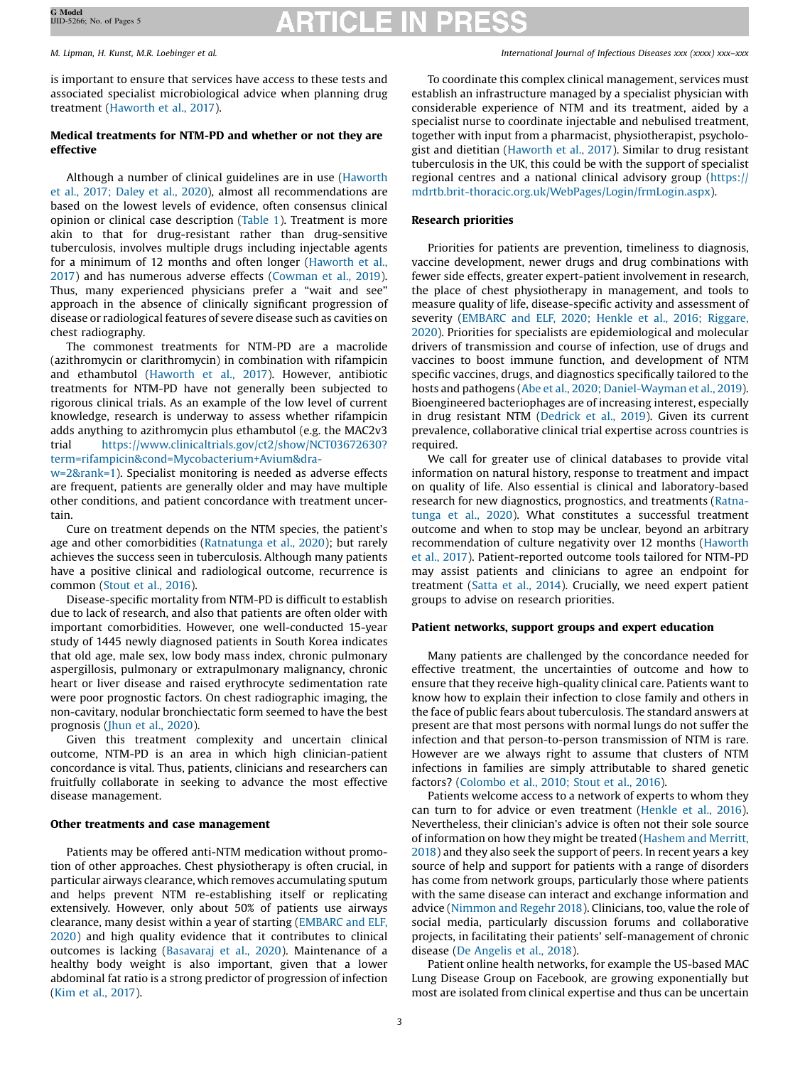is important to ensure that services have access to these tests and associated specialist microbiological advice when planning drug treatment ([Haworth](#page-3-0) et al., 2017).

# Medical treatments for NTM-PD and whether or not they are effective

Although a number of clinical guidelines are in use [\(Haworth](#page-3-0) et al., 2017; [Daley](#page-3-0) et al., 2020), almost all recommendations are based on the lowest levels of evidence, often consensus clinical opinion or clinical case description [\(Table](#page-1-0) 1). Treatment is more akin to that for drug-resistant rather than drug-sensitive tuberculosis, involves multiple drugs including injectable agents for a minimum of 12 months and often longer ([Haworth](#page-3-0) et al., [2017](#page-3-0)) and has numerous adverse effects ([Cowman](#page-3-0) et al., 2019). Thus, many experienced physicians prefer a "wait and see" approach in the absence of clinically significant progression of disease or radiological features of severe disease such as cavities on chest radiography.

The commonest treatments for NTM-PD are a macrolide (azithromycin or clarithromycin) in combination with rifampicin and ethambutol [\(Haworth](#page-3-0) et al., 2017). However, antibiotic treatments for NTM-PD have not generally been subjected to rigorous clinical trials. As an example of the low level of current knowledge, research is underway to assess whether rifampicin adds anything to azithromycin plus ethambutol (e.g. the MAC2v3 trial [https://www.clinicaltrials.gov/ct2/show/NCT03672630?](https://www.clinicaltrials.gov/ct2/show/NCT03672630?term=rifampicin%26cond=Mycobacterium+Avium%26draw=2%26rank=1) [term=rifampicin&cond=Mycobacterium+Avium&dra-](https://www.clinicaltrials.gov/ct2/show/NCT03672630?term=rifampicin%26cond=Mycobacterium+Avium%26draw=2%26rank=1)

[w=2&rank=1](https://www.clinicaltrials.gov/ct2/show/NCT03672630?term=rifampicin%26cond=Mycobacterium+Avium%26draw=2%26rank=1)). Specialist monitoring is needed as adverse effects are frequent, patients are generally older and may have multiple other conditions, and patient concordance with treatment uncertain.

Cure on treatment depends on the NTM species, the patient's age and other comorbidities [\(Ratnatunga](#page-4-0) et al., 2020); but rarely achieves the success seen in tuberculosis. Although many patients have a positive clinical and radiological outcome, recurrence is common [\(Stout](#page-4-0) et al., 2016).

Disease-specific mortality from NTM-PD is difficult to establish due to lack of research, and also that patients are often older with important comorbidities. However, one well-conducted 15-year study of 1445 newly diagnosed patients in South Korea indicates that old age, male sex, low body mass index, chronic pulmonary aspergillosis, pulmonary or extrapulmonary malignancy, chronic heart or liver disease and raised erythrocyte sedimentation rate were poor prognostic factors. On chest radiographic imaging, the non-cavitary, nodular bronchiectatic form seemed to have the best prognosis (Jhun et al., [2020\)](#page-4-0).

Given this treatment complexity and uncertain clinical outcome, NTM-PD is an area in which high clinician-patient concordance is vital. Thus, patients, clinicians and researchers can fruitfully collaborate in seeking to advance the most effective disease management.

# Other treatments and case management

Patients may be offered anti-NTM medication without promotion of other approaches. Chest physiotherapy is often crucial, in particular airways clearance, which removes accumulating sputum and helps prevent NTM re-establishing itself or replicating extensively. However, only about 50% of patients use airways clearance, many desist within a year of starting ([EMBARC](#page-3-0) and ELF, [2020](#page-3-0)) and high quality evidence that it contributes to clinical outcomes is lacking ([Basavaraj](#page-3-0) et al., 2020). Maintenance of a healthy body weight is also important, given that a lower abdominal fat ratio is a strong predictor of progression of infection (Kim et al., [2017](#page-4-0)).

M. Lipman, H. Kunst, M.R. Loebinger et al. International Journal of Infectious Diseases xxx (xxxx) xxx–xxx

To coordinate this complex clinical management, services must establish an infrastructure managed by a specialist physician with considerable experience of NTM and its treatment, aided by a specialist nurse to coordinate injectable and nebulised treatment, together with input from a pharmacist, physiotherapist, psychologist and dietitian [\(Haworth](#page-3-0) et al., 2017). Similar to drug resistant tuberculosis in the UK, this could be with the support of specialist regional centres and a national clinical advisory group [\(https://](https://mdrtb.brit-thoracic.org.uk/WebPages/Login/frmLogin.aspx) [mdrtb.brit-thoracic.org.uk/WebPages/Login/frmLogin.aspx](https://mdrtb.brit-thoracic.org.uk/WebPages/Login/frmLogin.aspx)).

# Research priorities

Priorities for patients are prevention, timeliness to diagnosis, vaccine development, newer drugs and drug combinations with fewer side effects, greater expert-patient involvement in research, the place of chest physiotherapy in management, and tools to measure quality of life, disease-specific activity and assessment of severity [\(EMBARC](#page-3-0) and ELF, 2020; Henkle et al., 2016; Riggare, [2020\)](#page-3-0). Priorities for specialists are epidemiological and molecular drivers of transmission and course of infection, use of drugs and vaccines to boost immune function, and development of NTM specific vaccines, drugs, and diagnostics specifically tailored to the hosts and pathogens (Abe et al., 2020; [Daniel-Wayman](#page-3-0) et al., 2019). Bioengineered bacteriophages are of increasing interest, especially in drug resistant NTM ([Dedrick](#page-3-0) et al., 2019). Given its current prevalence, collaborative clinical trial expertise across countries is required.

We call for greater use of clinical databases to provide vital information on natural history, response to treatment and impact on quality of life. Also essential is clinical and laboratory-based research for new diagnostics, prognostics, and treatments [\(Ratna](#page-4-0)[tunga](#page-4-0) et al., 2020). What constitutes a successful treatment outcome and when to stop may be unclear, beyond an arbitrary recommendation of culture negativity over 12 months [\(Haworth](#page-3-0) et al., [2017](#page-3-0)). Patient-reported outcome tools tailored for NTM-PD may assist patients and clinicians to agree an endpoint for treatment [\(Satta](#page-4-0) et al., 2014). Crucially, we need expert patient groups to advise on research priorities.

### Patient networks, support groups and expert education

Many patients are challenged by the concordance needed for effective treatment, the uncertainties of outcome and how to ensure that they receive high-quality clinical care. Patients want to know how to explain their infection to close family and others in the face of public fears about tuberculosis. The standard answers at present are that most persons with normal lungs do not suffer the infection and that person-to-person transmission of NTM is rare. However are we always right to assume that clusters of NTM infections in families are simply attributable to shared genetic factors? ([Colombo](#page-3-0) et al., 2010; Stout et al., 2016).

Patients welcome access to a network of experts to whom they can turn to for advice or even treatment [\(Henkle](#page-3-0) et al., 2016). Nevertheless, their clinician's advice is often not their sole source of information on how they might be treated [\(Hashem](#page-3-0) and Merritt, [2018](#page-3-0)) and they also seek the support of peers. In recent years a key source of help and support for patients with a range of disorders has come from network groups, particularly those where patients with the same disease can interact and exchange information and advice ([Nimmon](#page-4-0) and Regehr 2018). Clinicians, too, value the role of social media, particularly discussion forums and collaborative projects, in facilitating their patients' self-management of chronic disease (De [Angelis](#page-3-0) et al., 2018).

Patient online health networks, for example the US-based MAC Lung Disease Group on Facebook, are growing exponentially but most are isolated from clinical expertise and thus can be uncertain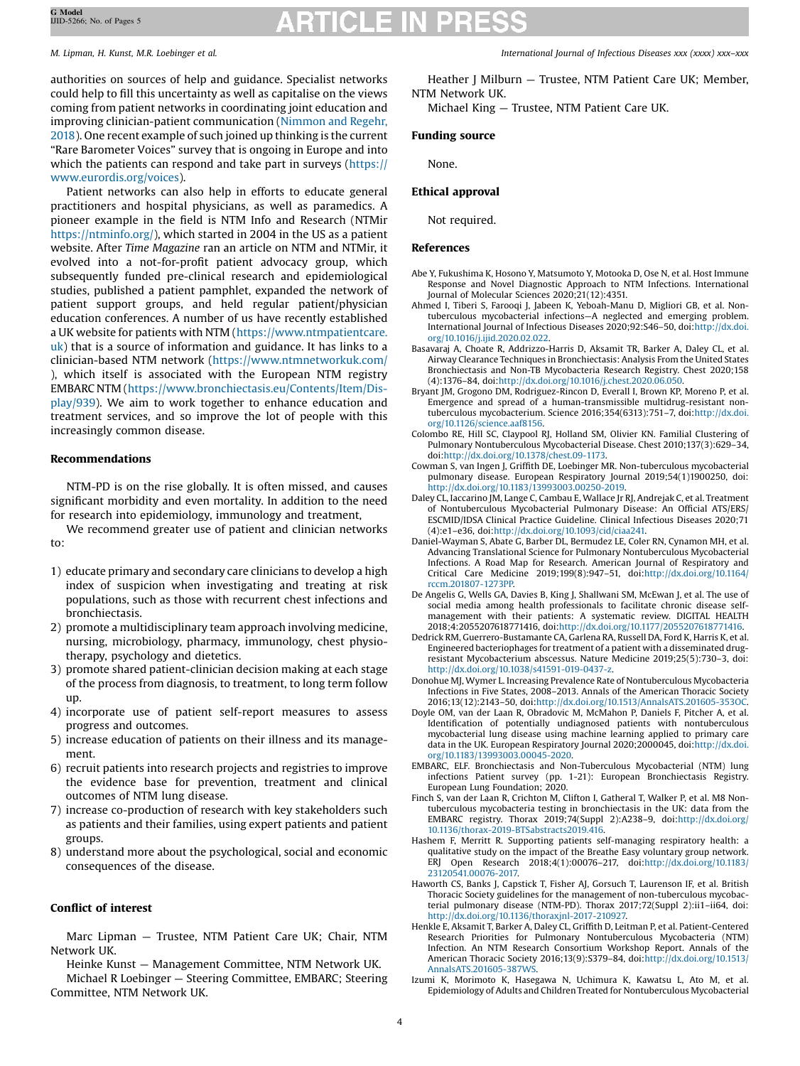authorities on sources of help and guidance. Specialist networks could help to fill this uncertainty as well as capitalise on the views coming from patient networks in coordinating joint education and improving clinician-patient communication ([Nimmon](#page-4-0) and Regehr, [2018](#page-4-0)). One recent example of such joined up thinking is the current "Rare Barometer Voices" survey that is ongoing in Europe and into which the patients can respond and take part in surveys [\(https://](https://www.eurordis.org/voices) [www.eurordis.org/voices](https://www.eurordis.org/voices)).

Patient networks can also help in efforts to educate general practitioners and hospital physicians, as well as paramedics. A pioneer example in the field is NTM Info and Research (NTMir <https://ntminfo.org/>), which started in 2004 in the US as a patient website. After Time Magazine ran an article on NTM and NTMir, it evolved into a not-for-profit patient advocacy group, which subsequently funded pre-clinical research and epidemiological studies, published a patient pamphlet, expanded the network of patient support groups, and held regular patient/physician education conferences. A number of us have recently established a UK website for patients with NTM [\(https://www.ntmpatientcare.](https://www.ntmpatientcare.uk) [uk](https://www.ntmpatientcare.uk)) that is a source of information and guidance. It has links to a clinician-based NTM network [\(https://www.ntmnetworkuk.com/](https://www.ntmnetworkuk.com/) ), which itself is associated with the European NTM registry EMBARC NTM [\(https://www.bronchiectasis.eu/Contents/Item/Dis](https://www.bronchiectasis.eu/Contents/Item/Display/939)[play/939](https://www.bronchiectasis.eu/Contents/Item/Display/939)). We aim to work together to enhance education and treatment services, and so improve the lot of people with this increasingly common disease.

# Recommendations

NTM-PD is on the rise globally. It is often missed, and causes significant morbidity and even mortality. In addition to the need for research into epidemiology, immunology and treatment,

We recommend greater use of patient and clinician networks to:

- 1) educate primary and secondary care clinicians to develop a high index of suspicion when investigating and treating at risk populations, such as those with recurrent chest infections and bronchiectasis.
- 2) promote a multidisciplinary team approach involving medicine, nursing, microbiology, pharmacy, immunology, chest physiotherapy, psychology and dietetics.
- 3) promote shared patient-clinician decision making at each stage of the process from diagnosis, to treatment, to long term follow up.
- 4) incorporate use of patient self-report measures to assess progress and outcomes.
- 5) increase education of patients on their illness and its management.
- 6) recruit patients into research projects and registries to improve the evidence base for prevention, treatment and clinical outcomes of NTM lung disease.
- 7) increase co-production of research with key stakeholders such as patients and their families, using expert patients and patient groups.
- 8) understand more about the psychological, social and economic consequences of the disease.

### Conflict of interest

Marc Lipman — Trustee, NTM Patient Care UK; Chair, NTM Network UK.

Heinke Kunst — Management Committee, NTM Network UK. Michael R Loebinger — Steering Committee, EMBARC; Steering Committee, NTM Network UK.

<span id="page-3-0"></span>M. Lipman, H. Kunst, M.R. Loebinger et al. International Journal of Infectious Diseases xxx (xxxx) xxx–xxx

Heather J Milburn — Trustee, NTM Patient Care UK; Member, NTM Network UK.

Michael King — Trustee, NTM Patient Care UK.

# Funding source

None.

# Ethical approval

Not required.

### References

- Abe Y, Fukushima K, Hosono Y, Matsumoto Y, Motooka D, Ose N, et al. Host Immune Response and Novel Diagnostic Approach to NTM Infections. International Journal of Molecular Sciences 2020;21(12):4351.
- Ahmed I, Tiberi S, Farooqi J, Jabeen K, Yeboah-Manu D, Migliori GB, et al. Nontuberculous mycobacterial infections—A neglected and emerging problem. International Journal of Infectious Diseases 2020;92:S46–50, doi[:http://dx.doi.](http://dx.doi.org/10.1016/j.ijid.2020.02.022) [org/10.1016/j.ijid.2020.02.022](http://dx.doi.org/10.1016/j.ijid.2020.02.022).
- Basavaraj A, Choate R, Addrizzo-Harris D, Aksamit TR, Barker A, Daley CL, et al. Airway Clearance Techniques in Bronchiectasis: Analysis From the United States Bronchiectasis and Non-TB Mycobacteria Research Registry. Chest 2020;158 (4):1376–84, doi[:http://dx.doi.org/10.1016/j.chest.2020.06.050](http://dx.doi.org/10.1016/j.chest.2020.06.050).
- Bryant JM, Grogono DM, Rodriguez-Rincon D, Everall I, Brown KP, Moreno P, et al. Emergence and spread of a human-transmissible multidrug-resistant nontuberculous mycobacterium. Science 2016;354(6313):751–7, doi[:http://dx.doi.](http://dx.doi.org/10.1126/science.aaf8156) [org/10.1126/science.aaf8156.](http://dx.doi.org/10.1126/science.aaf8156)
- Colombo RE, Hill SC, Claypool RJ, Holland SM, Olivier KN. Familial Clustering of Pulmonary Nontuberculous Mycobacterial Disease. Chest 2010;137(3):629–34, doi:[http://dx.doi.org/10.1378/chest.09-1173.](http://dx.doi.org/10.1378/chest.09-1173)
- Cowman S, van Ingen J, Griffith DE, Loebinger MR. Non-tuberculous mycobacterial pulmonary disease. European Respiratory Journal 2019;54(1)1900250, doi: <http://dx.doi.org/10.1183/13993003.00250-2019>.
- Daley CL, Iaccarino JM, Lange C, Cambau E, Wallace Jr RJ, Andrejak C, et al. Treatment of Nontuberculous Mycobacterial Pulmonary Disease: An Official ATS/ERS/ ESCMID/IDSA Clinical Practice Guideline. Clinical Infectious Diseases 2020;71 (4):e1–e36, doi:[http://dx.doi.org/10.1093/cid/ciaa241.](http://dx.doi.org/10.1093/cid/ciaa241)
- Daniel-Wayman S, Abate G, Barber DL, Bermudez LE, Coler RN, Cynamon MH, et al. Advancing Translational Science for Pulmonary Nontuberculous Mycobacterial Infections. A Road Map for Research. American Journal of Respiratory and Critical Care Medicine 2019;199(8):947–51, doi:[http://dx.doi.org/10.1164/](http://dx.doi.org/10.1164/rccm.201807-1273PP) [rccm.201807-1273PP.](http://dx.doi.org/10.1164/rccm.201807-1273PP)
- De Angelis G, Wells GA, Davies B, King J, Shallwani SM, McEwan J, et al. The use of social media among health professionals to facilitate chronic disease selfmanagement with their patients: A systematic review. DIGITAL HEALTH 2018;4:2055207618771416, doi[:http://dx.doi.org/10.1177/2055207618771416.](http://dx.doi.org/10.1177/2055207618771416)
- Dedrick RM, Guerrero-Bustamante CA, Garlena RA, Russell DA, Ford K, Harris K, et al. Engineered bacteriophages for treatment of a patient with a disseminated drugresistant Mycobacterium abscessus. Nature Medicine 2019;25(5):730–3, doi: [http://dx.doi.org/10.1038/s41591-019-0437-z.](http://dx.doi.org/10.1038/s41591-019-0437-z)
- Donohue MJ, Wymer L. Increasing Prevalence Rate of Nontuberculous Mycobacteria Infections in Five States, 2008–2013. Annals of the American Thoracic Society 2016;13(12):2143–50, doi[:http://dx.doi.org/10.1513/AnnalsATS.201605-353OC](http://dx.doi.org/10.1513/AnnalsATS.201605-353OC).
- Doyle OM, van der Laan R, Obradovic M, McMahon P, Daniels F, Pitcher A, et al. Identification of potentially undiagnosed patients with nontuberculous mycobacterial lung disease using machine learning applied to primary care data in the UK. European Respiratory Journal 2020;2000045, doi[:http://dx.doi.](http://dx.doi.org/10.1183/13993003.00045-2020) [org/10.1183/13993003.00045-2020.](http://dx.doi.org/10.1183/13993003.00045-2020)
- EMBARC, ELF. Bronchiectasis and Non-Tuberculous Mycobacterial (NTM) lung infections Patient survey (pp. 1-21): European Bronchiectasis Registry. European Lung Foundation; 2020.
- Finch S, van der Laan R, Crichton M, Clifton I, Gatheral T, Walker P, et al. M8 Nontuberculous mycobacteria testing in bronchiectasis in the UK: data from the EMBARC registry. Thorax 2019;74(Suppl 2):A238–9, doi:[http://dx.doi.org/](http://dx.doi.org/10.1136/thorax-2019-BTSabstracts2019.416) [10.1136/thorax-2019-BTSabstracts2019.416](http://dx.doi.org/10.1136/thorax-2019-BTSabstracts2019.416).
- Hashem F, Merritt R. Supporting patients self-managing respiratory health: a qualitative study on the impact of the Breathe Easy voluntary group network. ERJ Open Research 2018;4(1):00076–217, doi[:http://dx.doi.org/10.1183/](http://dx.doi.org/10.1183/23120541.00076-2017) [23120541.00076-2017.](http://dx.doi.org/10.1183/23120541.00076-2017)
- Haworth CS, Banks J, Capstick T, Fisher AJ, Gorsuch T, Laurenson IF, et al. British Thoracic Society guidelines for the management of non-tuberculous mycobacterial pulmonary disease (NTM-PD). Thorax 2017;72(Suppl 2):ii1–ii64, doi: [http://dx.doi.org/10.1136/thoraxjnl-2017-210927.](http://dx.doi.org/10.1136/thoraxjnl-2017-210927)
- Henkle E, Aksamit T, Barker A, Daley CL, Griffith D, Leitman P, et al. Patient-Centered Research Priorities for Pulmonary Nontuberculous Mycobacteria (NTM) Infection. An NTM Research Consortium Workshop Report. Annals of the American Thoracic Society 2016;13(9):S379–84, doi[:http://dx.doi.org/10.1513/](http://dx.doi.org/10.1513/AnnalsATS.201605-387WS) [AnnalsATS.201605-387WS](http://dx.doi.org/10.1513/AnnalsATS.201605-387WS).
- Izumi K, Morimoto K, Hasegawa N, Uchimura K, Kawatsu L, Ato M, et al. Epidemiology of Adults and Children Treated for Nontuberculous Mycobacterial